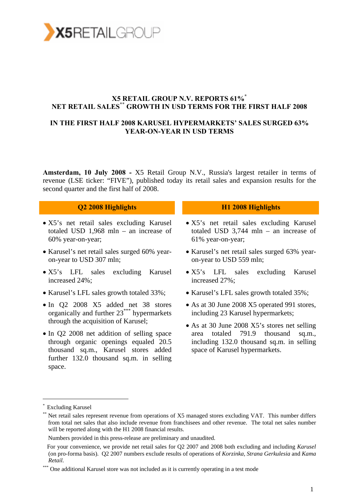

#### **X5 RETAIL GROUP N.V. REPORTS 61%\* NET RETAIL SALES\*\* GROWTH IN USD TERMS FOR THE FIRST HALF 2008**

#### **IN THE FIRST HALF 2008 KARUSEL HYPERMARKETS' SALES SURGED 63% YEAR-ON-YEAR IN USD TERMS**

**Amsterdam, 10 July 2008 -** X5 Retail Group N.V., Russia's largest retailer in terms of revenue (LSE ticker: "FIVE"), published today its retail sales and expansion results for the second quarter and the first half of 2008.

#### **Q2 2008 Highlights H1 2008 Highlights**

- X5's net retail sales excluding Karusel totaled USD 1,968 mln – an increase of 60% year-on-year;
- Karusel's net retail sales surged 60% yearon-year to USD 307 mln;
- X5's LFL sales excluding Karusel increased 24%;
- Karusel's LFL sales growth totaled 33%;
- In Q2 2008 X5 added net 38 stores organically and further 23\*\*\* hypermarkets through the acquisition of Karusel;
- In Q2 2008 net addition of selling space through organic openings equaled 20.5 thousand sq.m., Karusel stores added further 132.0 thousand sq.m. in selling space.

- X5's net retail sales excluding Karusel totaled USD 3,744 mln – an increase of 61% year-on-year;
- Karusel's net retail sales surged 63% yearon-year to USD 559 mln;
- X5's LFL sales excluding Karusel increased 27%;
- Karusel's LFL sales growth totaled 35%;
- As at 30 June 2008 X5 operated 991 stores, including 23 Karusel hypermarkets;
- As at 30 June 2008 X5's stores net selling area totaled 791.9 thousand sq.m., including 132.0 thousand sq.m. in selling space of Karusel hypermarkets.

<sup>\*</sup> Excluding Karusel

<sup>\*\*</sup> Net retail sales represent revenue from operations of X5 managed stores excluding VAT. This number differs from total net sales that also include revenue from franchisees and other revenue. The total net sales number will be reported along with the H1 2008 financial results.

Numbers provided in this press-release are preliminary and unaudited.

For your convenience, we provide net retail sales for Q2 2007 and 2008 both excluding and including *Karusel*  (on pro-forma basis). Q2 2007 numbers exclude results of operations of *Korzinka, Strana Gerkulesia* and *Kama Retail*.

<sup>\*\*\*</sup> One additional Karusel store was not included as it is currently operating in a test mode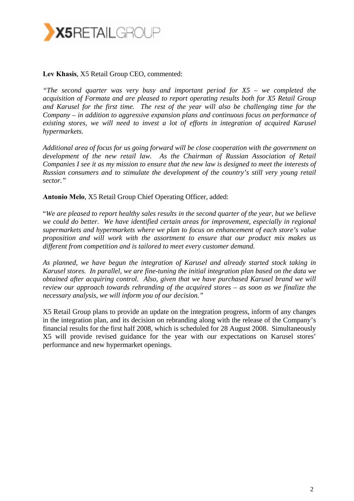

#### **Lev Khasis**, X5 Retail Group CEO, commented:

*"The second quarter was very busy and important period for X5 – we completed the acquisition of Formata and are pleased to report operating results both for X5 Retail Group and Karusel for the first time. The rest of the year will also be challenging time for the Company – in addition to aggressive expansion plans and continuous focus on performance of existing stores, we will need to invest a lot of efforts in integration of acquired Karusel hypermarkets.* 

*Additional area of focus for us going forward will be close cooperation with the government on development of the new retail law. As the Chairman of Russian Association of Retail Companies I see it as my mission to ensure that the new law is designed to meet the interests of Russian consumers and to stimulate the development of the country's still very young retail sector."* 

**Antonio Melo**, X5 Retail Group Chief Operating Officer, added:

"*We are pleased to report healthy sales results in the second quarter of the year, but we believe we could do better. We have identified certain areas for improvement, especially in regional supermarkets and hypermarkets where we plan to focus on enhancement of each store's value proposition and will work with the assortment to ensure that our product mix makes us different from competition and is tailored to meet every customer demand.* 

*As planned, we have begun the integration of Karusel and already started stock taking in Karusel stores. In parallel, we are fine-tuning the initial integration plan based on the data we obtained after acquiring control. Also, given that we have purchased Karusel brand we will review our approach towards rebranding of the acquired stores – as soon as we finalize the necessary analysis, we will inform you of our decision."* 

X5 Retail Group plans to provide an update on the integration progress, inform of any changes in the integration plan, and its decision on rebranding along with the release of the Company's financial results for the first half 2008, which is scheduled for 28 August 2008. Simultaneously X5 will provide revised guidance for the year with our expectations on Karusel stores' performance and new hypermarket openings.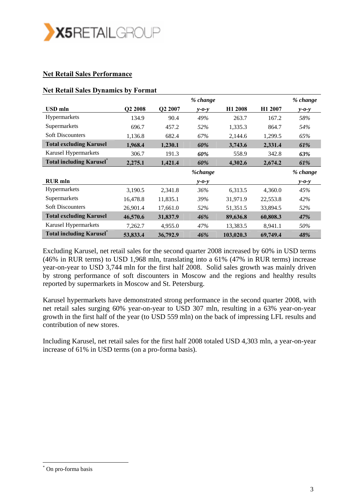

#### **Net Retail Sales Performance**

#### **Net Retail Sales Dynamics by Format**

|                                  |                     |          | % change    |                     |                     | % change    |
|----------------------------------|---------------------|----------|-------------|---------------------|---------------------|-------------|
| <b>USD</b> mln                   | Q <sub>2</sub> 2008 | Q2 2007  | $v$ -0- $v$ | H <sub>1</sub> 2008 | H <sub>1</sub> 2007 | $y - 0 - y$ |
| <b>Hypermarkets</b>              | 134.9               | 90.4     | 49%         | 263.7               | 167.2               | 58%         |
| Supermarkets                     | 696.7               | 457.2    | 52%         | 1,335.3             | 864.7               | 54%         |
| <b>Soft Discounters</b>          | 1,136.8             | 682.4    | 67%         | 2,144.6             | 1,299.5             | 65%         |
| <b>Total excluding Karusel</b>   | 1,968.4             | 1,230.1  | 60%         | 3,743.6             | 2,331.4             | 61%         |
| Karusel Hypermarkets             | 306.7               | 191.3    | 60%         | 558.9               | 342.8               | 63%         |
| <b>Total including Karusel</b> * | 2,275.1             | 1,421.4  | 60%         | 4,302.6             | 2,674.2             | 61%         |
|                                  |                     |          |             |                     |                     |             |
|                                  |                     |          | %change     |                     |                     | % change    |
| <b>RUR</b> mln                   |                     |          | $v$ -0- $v$ |                     |                     | $v$ -0- $v$ |
| Hypermarkets                     | 3,190.5             | 2,341.8  | 36%         | 6,313.5             | 4,360.0             | 45%         |
| Supermarkets                     | 16,478.8            | 11,835.1 | 39%         | 31,971.9            | 22,553.8            | 42%         |
| <b>Soft Discounters</b>          | 26,901.4            | 17,661.0 | 52%         | 51,351.5            | 33,894.5            | 52%         |
| <b>Total excluding Karusel</b>   | 46,570.6            | 31,837.9 | 46%         | 89,636.8            | 60,808.3            | 47%         |
| Karusel Hypermarkets             | 7,262.7             | 4,955.0  | 47%         | 13,383.5            | 8,941.1             | 50%         |

Excluding Karusel, net retail sales for the second quarter 2008 increased by 60% in USD terms (46% in RUR terms) to USD 1,968 mln, translating into a 61% (47% in RUR terms) increase year-on-year to USD 3,744 mln for the first half 2008. Solid sales growth was mainly driven by strong performance of soft discounters in Moscow and the regions and healthy results reported by supermarkets in Moscow and St. Petersburg.

Karusel hypermarkets have demonstrated strong performance in the second quarter 2008, with net retail sales surging 60% year-on-year to USD 307 mln, resulting in a 63% year-on-year growth in the first half of the year (to USD 559 mln) on the back of impressing LFL results and contribution of new stores.

Including Karusel, net retail sales for the first half 2008 totaled USD 4,303 mln, a year-on-year increase of 61% in USD terms (on a pro-forma basis).

<sup>\*</sup> On pro-forma basis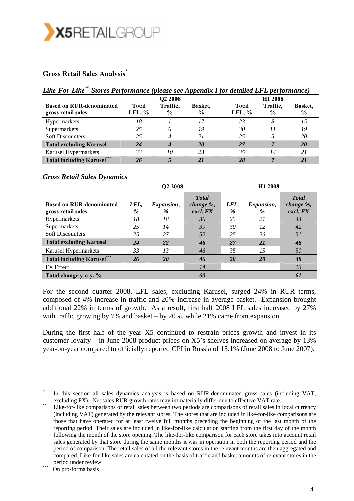

#### **Gross Retail Sales Analysis**\*

| Like-For-Like** Stores Performance (please see Appendix I for detailed LFL performance) |                 |                           |                                 |                   |                           |                                 |
|-----------------------------------------------------------------------------------------|-----------------|---------------------------|---------------------------------|-------------------|---------------------------|---------------------------------|
|                                                                                         |                 | O <sub>2</sub> 2008       |                                 |                   | H <sub>1</sub> 2008       |                                 |
| <b>Based on RUR-denominated</b><br>gross retail sales                                   | Total<br>LFL, % | Traffic.<br>$\frac{0}{0}$ | <b>Basket.</b><br>$\frac{0}{0}$ | Total<br>LFL, $%$ | Traffic.<br>$\frac{6}{9}$ | <b>Basket.</b><br>$\frac{6}{6}$ |
| <b>Hypermarkets</b>                                                                     | 18              |                           | 17                              | 23                | 8                         | 15                              |
| Supermarkets                                                                            | 25              | 6                         | 19                              | 30                | 11                        | 19                              |
| <b>Soft Discounters</b>                                                                 | 25              | 4                         | 21                              | 25                | 5                         | 20                              |
| <b>Total excluding Karusel</b>                                                          | 24              | 4                         | <b>20</b>                       | 27                | 7                         | <b>20</b>                       |
| Karusel Hypermarkets                                                                    | 33              | 10                        | 23                              | 35                | 14                        | 21                              |
| <b>Total including Karusel***</b>                                                       | 26              |                           | 21                              | 28                | 7                         | 21                              |

#### *Gross Retail Sales Dynamics*

|                                                       |              | Q <sub>2</sub> 2008       |                                       | H <sub>1</sub> 2008 |                        |                                        |
|-------------------------------------------------------|--------------|---------------------------|---------------------------------------|---------------------|------------------------|----------------------------------------|
| <b>Based on RUR-denominated</b><br>gross retail sales | LFL,<br>$\%$ | <i>Expansion,</i><br>$\%$ | <b>Total</b><br>change %,<br>excl. FX | LFL,<br>%           | <i>Expansion,</i><br>% | <b>T</b> otal<br>change %,<br>excl. FX |
| Hypermarkets                                          | 18           | 18                        | 36                                    | 23                  | 21                     | 44                                     |
| Supermarkets                                          | 25           | 14                        | 39                                    | 30                  | 12                     | 42                                     |
| <b>Soft Discounters</b>                               | 25           | 27                        | 52                                    | 25                  | 26                     | 51                                     |
| <b>Total excluding Karusel</b>                        | 24           | 22                        | 46                                    | 27                  | 21                     | 48                                     |
| Karusel Hypermarkets                                  | 33           | 13                        | 46                                    | 35                  | 15                     | 50                                     |
| <b>Total including Karusel***</b>                     | 26           | <b>20</b>                 | 46                                    | 28                  | <b>20</b>              | 48                                     |
| <b>FX</b> Effect                                      |              |                           | 14                                    |                     |                        | 13                                     |
| Total change y-o-y, %                                 |              |                           | 60                                    |                     |                        | 61                                     |

For the second quarter 2008, LFL sales, excluding Karusel, surged 24% in RUR terms, composed of 4% increase in traffic and 20% increase in average basket. Expansion brought additional 22% in terms of growth. As a result, first half 2008 LFL sales increased by 27% with traffic growing by 7% and basket – by 20%, while 21% came from expansion.

During the first half of the year X5 continued to restrain prices growth and invest in its customer loyalty – in June 2008 product prices on X5's shelves increased on average by 13% year-on-year compared to officially reported CPI in Russia of 15.1% (June 2008 to June 2007).

In this section all sales dynamics analysis is based on RUR-denominated gross sales (including VAT, excluding FX). Net sales RUR growth rates may immaterially differ due to effective VAT rate.<br>Like-for-like comparisons of retail sales between two periods are comparisons of retail sales in local currency

<sup>(</sup>including VAT) generated by the relevant stores. The stores that are included in like-for-like comparisons are those that have operated for at least twelve full months preceding the beginning of the last month of the reporting period. Their sales are included in like-for-like calculation starting from the first day of the month following the month of the store opening. The like-for-like comparison for each store takes into account retail sales generated by that store during the same months it was in operation in both the reporting period and the period of comparison. The retail sales of all the relevant stores in the relevant months are then aggregated and compared. Like-for-like sales are calculated on the basis of traffic and basket amounts of relevant stores in the period under review.<br>On pro-forma basis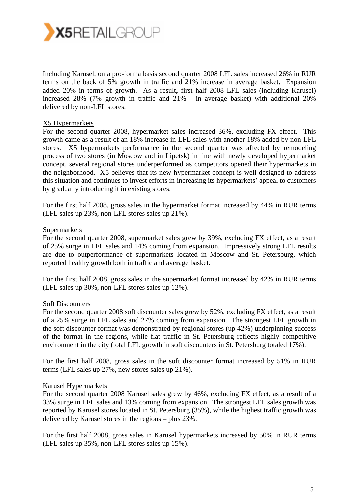

Including Karusel, on a pro-forma basis second quarter 2008 LFL sales increased 26% in RUR terms on the back of 5% growth in traffic and 21% increase in average basket. Expansion added 20% in terms of growth. As a result, first half 2008 LFL sales (including Karusel) increased 28% (7% growth in traffic and 21% - in average basket) with additional 20% delivered by non-LFL stores.

#### X5 Hypermarkets

For the second quarter 2008, hypermarket sales increased 36%, excluding FX effect. This growth came as a result of an 18% increase in LFL sales with another 18% added by non-LFL stores. X5 hypermarkets performance in the second quarter was affected by remodeling process of two stores (in Moscow and in Lipetsk) in line with newly developed hypermarket concept, several regional stores underperformed as competitors opened their hypermarkets in the neighborhood. X5 believes that its new hypermarket concept is well designed to address this situation and continues to invest efforts in increasing its hypermarkets' appeal to customers by gradually introducing it in existing stores.

For the first half 2008, gross sales in the hypermarket format increased by 44% in RUR terms (LFL sales up 23%, non-LFL stores sales up 21%).

#### Supermarkets

For the second quarter 2008, supermarket sales grew by 39%, excluding FX effect, as a result of 25% surge in LFL sales and 14% coming from expansion. Impressively strong LFL results are due to outperformance of supermarkets located in Moscow and St. Petersburg, which reported healthy growth both in traffic and average basket.

For the first half 2008, gross sales in the supermarket format increased by 42% in RUR terms (LFL sales up 30%, non-LFL stores sales up 12%).

#### Soft Discounters

For the second quarter 2008 soft discounter sales grew by 52%, excluding FX effect, as a result of a 25% surge in LFL sales and 27% coming from expansion. The strongest LFL growth in the soft discounter format was demonstrated by regional stores (up 42%) underpinning success of the format in the regions, while flat traffic in St. Petersburg reflects highly competitive environment in the city (total LFL growth in soft discounters in St. Petersburg totaled 17%).

For the first half 2008, gross sales in the soft discounter format increased by 51% in RUR terms (LFL sales up 27%, new stores sales up 21%).

#### Karusel Hypermarkets

For the second quarter 2008 Karusel sales grew by 46%, excluding FX effect, as a result of a 33% surge in LFL sales and 13% coming from expansion. The strongest LFL sales growth was reported by Karusel stores located in St. Petersburg (35%), while the highest traffic growth was delivered by Karusel stores in the regions – plus 23%.

For the first half 2008, gross sales in Karusel hypermarkets increased by 50% in RUR terms (LFL sales up 35%, non-LFL stores sales up 15%).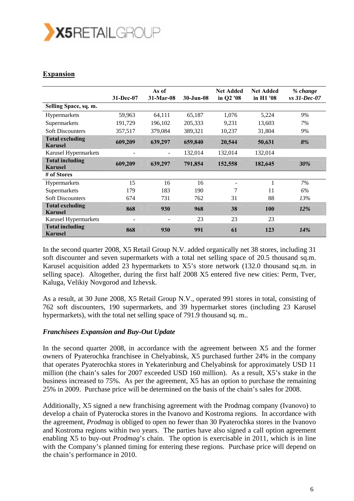

### **Expansion**

|                                          | 31-Dec-07 | As of<br>31-Mar-08           | 30-Jun-08 | <b>Net Added</b><br>in Q2 '08 | <b>Net Added</b><br>in H1 '08 | % change<br>$vs$ 31-Dec-07 |
|------------------------------------------|-----------|------------------------------|-----------|-------------------------------|-------------------------------|----------------------------|
| Selling Space, sq. m.                    |           |                              |           |                               |                               |                            |
| Hypermarkets                             | 59,963    | 64,111                       | 65,187    | 1,076                         | 5,224                         | 9%                         |
| Supermarkets                             | 191,729   | 196,102                      | 205,333   | 9,231                         | 13,603                        | 7%                         |
| <b>Soft Discounters</b>                  | 357,517   | 379,084                      | 389,321   | 10,237                        | 31,804                        | 9%                         |
| <b>Total excluding</b><br><b>Karusel</b> | 609,209   | 639,297                      | 659,840   | 20,544                        | 50,631                        | 8%                         |
| Karusel Hypermarkets                     |           | $\qquad \qquad \blacksquare$ | 132,014   | 132,014                       | 132,014                       |                            |
| <b>Total including</b><br><b>Karusel</b> | 609,209   | 639,297                      | 791,854   | 152,558                       | 182,645                       | 30%                        |
| # of Stores                              |           |                              |           |                               |                               |                            |
| Hypermarkets                             | 15        | 16                           | 16        |                               | 1                             | 7%                         |
| Supermarkets                             | 179       | 183                          | 190       | 7                             | 11                            | 6%                         |
| <b>Soft Discounters</b>                  | 674       | 731                          | 762       | 31                            | 88                            | 13%                        |
| <b>Total excluding</b><br><b>Karusel</b> | 868       | 930                          | 968       | 38                            | 100                           | $12\%$                     |
| Karusel Hypermarkets                     |           |                              | 23        | 23                            | 23                            |                            |
| <b>Total including</b><br><b>Karusel</b> | 868       | 930                          | 991       | 61                            | 123                           | <b>14%</b>                 |

In the second quarter 2008, X5 Retail Group N.V. added organically net 38 stores, including 31 soft discounter and seven supermarkets with a total net selling space of 20.5 thousand sq.m. Karusel acquisition added 23 hypermarkets to X5's store network (132.0 thousand sq.m. in selling space). Altogether, during the first half 2008 X5 entered five new cities: Perm, Tver, Kaluga, Velikiy Novgorod and Izhevsk.

As a result, at 30 June 2008, X5 Retail Group N.V., operated 991 stores in total, consisting of 762 soft discounters, 190 supermarkets, and 39 hypermarket stores (including 23 Karusel hypermarkets), with the total net selling space of 791.9 thousand sq. m..

#### *Franchisees Expansion and Buy-Out Update*

In the second quarter 2008, in accordance with the agreement between X5 and the former owners of Pyaterochka franchisee in Chelyabinsk, X5 purchased further 24% in the company that operates Pyaterochka stores in Yekaterinburg and Chelyabinsk for approximately USD 11 million (the chain's sales for 2007 exceeded USD 160 million). As a result, X5's stake in the business increased to 75%. As per the agreement, X5 has an option to purchase the remaining 25% in 2009. Purchase price will be determined on the basis of the chain's sales for 2008.

Additionally, X5 signed a new franchising agreement with the Prodmag company (Ivanovo) to develop a chain of Pyaterocka stores in the Ivanovo and Kostroma regions. In accordance with the agreement*, Prodmag* is obliged to open no fewer than 30 Pyaterochka stores in the Ivanovo and Kostroma regions within two years. The parties have also signed a call option agreement enabling X5 to buy-out *Prodmag*'s chain. The option is exercisable in 2011, which is in line with the Company's planned timing for entering these regions. Purchase price will depend on the chain's performance in 2010.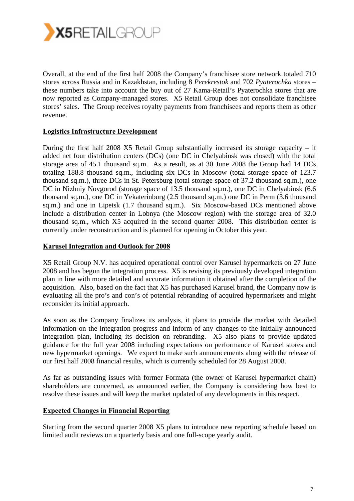

Overall, at the end of the first half 2008 the Company's franchisee store network totaled 710 stores across Russia and in Kazakhstan, including 8 *Perekrestok* and 702 *Pyaterochka* stores – these numbers take into account the buy out of 27 Kama-Retail's Pyaterochka stores that are now reported as Company-managed stores. X5 Retail Group does not consolidate franchisee stores' sales. The Group receives royalty payments from franchisees and reports them as other revenue.

#### **Logistics Infrastructure Development**

During the first half 2008 X5 Retail Group substantially increased its storage capacity – it added net four distribution centers (DCs) (one DC in Chelyabinsk was closed) with the total storage area of 45.1 thousand sq.m. As a result, as at 30 June 2008 the Group had 14 DCs totaling 188.8 thousand sq.m., including six DCs in Moscow (total storage space of 123.7 thousand sq.m.), three DCs in St. Petersburg (total storage space of 37.2 thousand sq.m.), one DC in Nizhniy Novgorod (storage space of 13.5 thousand sq.m.), one DC in Chelyabinsk (6.6 thousand sq.m.), one DC in Yekaterinburg (2.5 thousand sq.m.) one DC in Perm (3.6 thousand sq.m.) and one in Lipetsk (1.7 thousand sq.m.). Six Moscow-based DCs mentioned above include a distribution center in Lobnya (the Moscow region) with the storage area of 32.0 thousand sq.m., which X5 acquired in the second quarter 2008. This distribution center is currently under reconstruction and is planned for opening in October this year.

#### **Karusel Integration and Outlook for 2008**

X5 Retail Group N.V. has acquired operational control over Karusel hypermarkets on 27 June 2008 and has begun the integration process. X5 is revising its previously developed integration plan in line with more detailed and accurate information it obtained after the completion of the acquisition. Also, based on the fact that X5 has purchased Karusel brand, the Company now is evaluating all the pro's and con's of potential rebranding of acquired hypermarkets and might reconsider its initial approach.

As soon as the Company finalizes its analysis, it plans to provide the market with detailed information on the integration progress and inform of any changes to the initially announced integration plan, including its decision on rebranding. X5 also plans to provide updated guidance for the full year 2008 including expectations on performance of Karusel stores and new hypermarket openings. We expect to make such announcements along with the release of our first half 2008 financial results, which is currently scheduled for 28 August 2008.

As far as outstanding issues with former Formata (the owner of Karusel hypermarket chain) shareholders are concerned, as announced earlier, the Company is considering how best to resolve these issues and will keep the market updated of any developments in this respect.

#### **Expected Changes in Financial Reporting**

Starting from the second quarter 2008 X5 plans to introduce new reporting schedule based on limited audit reviews on a quarterly basis and one full-scope yearly audit.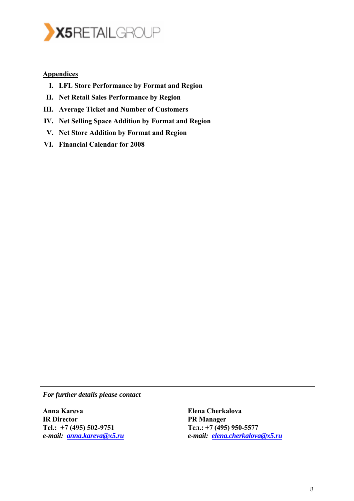![](_page_7_Picture_0.jpeg)

#### **Appendices**

- **I. LFL Store Performance by Format and Region**
- **II. Net Retail Sales Performance by Region**
- **III. Average Ticket and Number of Customers**
- **IV. Net Selling Space Addition by Format and Region**
- **V. Net Store Addition by Format and Region**
- **VI. Financial Calendar for 2008**

*For further details please contact* 

**Anna Kareva IR Director Tel.: +7 (495) 502-9751**  *e-mail: anna.kareva@x5.ru* **Elena Cherkalova PR Manager Тел.: +7 (495) 950-5577**  *e-mail: elena.cherkalova@x5.ru*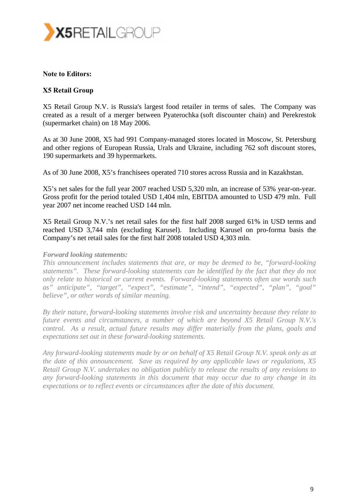![](_page_8_Picture_0.jpeg)

#### **Note to Editors:**

#### **X5 Retail Group**

X5 Retail Group N.V. is Russia's largest food retailer in terms of sales. The Company was created as a result of a merger between Pyaterochka (soft discounter chain) and Perekrestok (supermarket chain) on 18 May 2006.

As at 30 June 2008, X5 had 991 Company-managed stores located in Moscow, St. Petersburg and other regions of European Russia, Urals and Ukraine, including 762 soft discount stores, 190 supermarkets and 39 hypermarkets.

As of 30 June 2008, X5's franchisees operated 710 stores across Russia and in Kazakhstan.

X5's net sales for the full year 2007 reached USD 5,320 mln, an increase of 53% year-on-year. Gross profit for the period totaled USD 1,404 mln, EBITDA amounted to USD 479 mln. Full year 2007 net income reached USD 144 mln.

X5 Retail Group N.V.'s net retail sales for the first half 2008 surged 61% in USD terms and reached USD 3,744 mln (excluding Karusel). Including Karusel on pro-forma basis the Company's net retail sales for the first half 2008 totaled USD 4,303 mln.

#### *Forward looking statements:*

*This announcement includes statements that are, or may be deemed to be, "forward-looking statements". These forward-looking statements can be identified by the fact that they do not only relate to historical or current events. Forward-looking statements often use words such as" anticipate", "target", "expect", "estimate", "intend", "expected", "plan", "goal" believe", or other words of similar meaning.* 

*By their nature, forward-looking statements involve risk and uncertainty because they relate to future events and circumstances, a number of which are beyond X5 Retail Group N.V.'s control. As a result, actual future results may differ materially from the plans, goals and expectations set out in these forward-looking statements.* 

*Any forward-looking statements made by or on behalf of X5 Retail Group N.V. speak only as at the date of this announcement. Save as required by any applicable laws or regulations, X5 Retail Group N.V. undertakes no obligation publicly to release the results of any revisions to any forward-looking statements in this document that may occur due to any change in its expectations or to reflect events or circumstances after the date of this document.*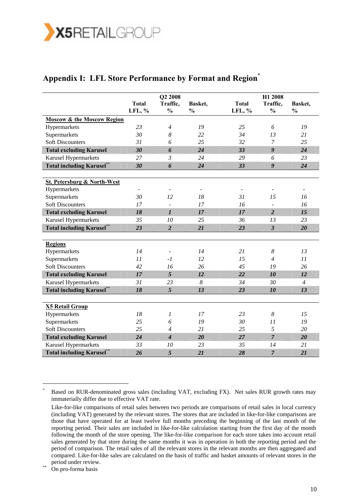![](_page_9_Picture_0.jpeg)

### Appendix I: LFL Store Performance by Format and Region<sup>\*</sup>

|                                        | <b>Total</b> | Q2 2008<br>Traffic,         | Basket,                  | <b>Total</b> | H1 2008<br>Traffic,     | Basket,                  |
|----------------------------------------|--------------|-----------------------------|--------------------------|--------------|-------------------------|--------------------------|
|                                        | LFL, %       | $\frac{0}{0}$               | $\frac{0}{0}$            | LFL, %       | $\frac{0}{0}$           | $\frac{0}{0}$            |
| <b>Moscow &amp; the Moscow Region</b>  |              |                             |                          |              |                         |                          |
| Hypermarkets                           | 23           | $\overline{4}$              | 19                       | 25           | 6                       | 19                       |
| Supermarkets                           | 30           | 8                           | 22                       | 34           | 13                      | 21                       |
| <b>Soft Discounters</b>                | 31           | 6                           | 25                       | 32           | 7                       | 25                       |
| <b>Total excluding Karusel</b>         | 30           | 6                           | 24                       | 33           | $\boldsymbol{g}$        | 24                       |
| Karusel Hypermarkets                   | 27           | $\mathfrak{Z}$              | 24                       | 29           | 6                       | 23                       |
| <b>Total including Karusel**</b>       | 30           | 6                           | 24                       | 33           | 9                       | 24                       |
|                                        |              |                             |                          |              |                         |                          |
| <b>St. Petersburg &amp; North-West</b> |              |                             |                          |              |                         |                          |
| Hypermarkets                           |              | $\overline{\phantom{a}}$    | $\overline{\phantom{a}}$ |              |                         | $\overline{\phantom{a}}$ |
| Supermarkets                           | 30           | 12                          | 18                       | 31           | 15                      | 16                       |
| <b>Soft Discounters</b>                | 17           | $\overline{\phantom{a}}$    | 17                       | 16           | $\frac{1}{2}$           | 16                       |
| <b>Total excluding Karusel</b>         | 18           | $\boldsymbol{l}$            | 17                       | 17           | $\overline{2}$          | 15                       |
| Karusel Hypermarkets                   | 35           | 10                          | 25                       | 36           | 13                      | 23                       |
| <b>Total including Karusel**</b>       | 23           | $\overline{2}$              | 21                       | 23           | $\overline{\mathbf{3}}$ | 20                       |
|                                        |              |                             |                          |              |                         |                          |
| <b>Regions</b>                         |              |                             |                          |              |                         |                          |
| Hypermarkets                           | 14           | $\overline{\phantom{a}}$    | 14                       | 21           | 8                       | 13                       |
| Supermarkets                           | 11           | $-I$                        | 12                       | 15           | $\overline{4}$          | 11                       |
| <b>Soft Discounters</b>                | 42           | 16                          | 26                       | 45           | 19                      | 26                       |
| <b>Total excluding Karusel</b>         | 17           | 5                           | 12                       | 22           | 10                      | 12                       |
| Karusel Hypermarkets                   | 31           | 23                          | $\boldsymbol{8}$         | 34           | 30                      | $\overline{4}$           |
| <b>Total including Karusel**</b>       | 18           | 5                           | 13                       | 23           | 10                      | 13                       |
|                                        |              |                             |                          |              |                         |                          |
| <b>X5 Retail Group</b>                 |              |                             |                          |              |                         |                          |
| Hypermarkets                           | 18           | 1                           | 17                       | 23           | 8                       | 15                       |
| Supermarkets                           | 25           | 6                           | 19                       | 30           | 11                      | 19                       |
| <b>Soft Discounters</b>                | 25           | $\overline{4}$              | 21                       | 25           | 5                       | 20                       |
| <b>Total excluding Karusel</b>         | 24           | $\overline{\boldsymbol{4}}$ | 20                       | 27           | $\overline{7}$          | 20                       |
| Karusel Hypermarkets                   | 33           | 10                          | 23                       | 35           | 14                      | 21                       |
| <b>Total including Karusel**</b>       | 26           | 5                           | 21                       | 28           | $\overline{7}$          | 21                       |

<sup>\*</sup> Based on RUR-denominated gross sales (including VAT, excluding FX). Net sales RUR growth rates may immaterially differ due to effective VAT rate.

Like-for-like comparisons of retail sales between two periods are comparisons of retail sales in local currency (including VAT) generated by the relevant stores. The stores that are included in like-for-like comparisons are those that have operated for at least twelve full months preceding the beginning of the last month of the reporting period. Their sales are included in like-for-like calculation starting from the first day of the month following the month of the store opening. The like-for-like comparison for each store takes into account retail sales generated by that store during the same months it was in operation in both the reporting period and the period of comparison. The retail sales of all the relevant stores in the relevant months are then aggregated and compared. Like-for-like sales are calculated on the basis of traffic and basket amounts of relevant stores in the period under review.<br>On pro-forma basis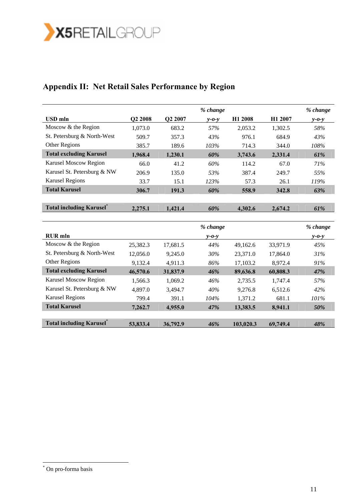![](_page_10_Picture_0.jpeg)

### **Appendix II: Net Retail Sales Performance by Region**

|                                  |          |          | % change    |           |          | % change    |
|----------------------------------|----------|----------|-------------|-----------|----------|-------------|
| <b>USD</b> mln                   | Q2 2008  | Q2 2007  | $y - 0 - y$ | H1 2008   | H1 2007  | $y - 0 - y$ |
| Moscow & the Region              | 1,073.0  | 683.2    | 57%         | 2,053.2   | 1,302.5  | 58%         |
| St. Petersburg & North-West      | 509.7    | 357.3    | 43%         | 976.1     | 684.9    | 43%         |
| Other Regions                    | 385.7    | 189.6    | 103%        | 714.3     | 344.0    | 108%        |
| <b>Total excluding Karusel</b>   | 1,968.4  | 1,230.1  | 60%         | 3,743.6   | 2,331.4  | 61%         |
| Karusel Moscow Region            | 66.0     | 41.2     | 60%         | 114.2     | 67.0     | 71%         |
| Karusel St. Petersburg & NW      | 206.9    | 135.0    | 53%         | 387.4     | 249.7    | 55%         |
| <b>Karusel Regions</b>           | 33.7     | 15.1     | 123%        | 57.3      | 26.1     | 119%        |
| <b>Total Karusel</b>             | 306.7    | 191.3    | 60%         | 558.9     | 342.8    | 63%         |
|                                  |          |          |             |           |          |             |
| <b>Total including Karusel</b> * | 2,275.1  | 1,421.4  | 60%         | 4,302.6   | 2,674.2  | 61%         |
|                                  |          |          |             |           |          |             |
|                                  |          |          | % change    |           |          | % change    |
| <b>RUR</b> mln                   |          |          | $y - 0 - y$ |           |          | $y - 0 - y$ |
| Moscow & the Region              | 25,382.3 | 17,681.5 | 44%         | 49,162.6  | 33,971.9 | 45%         |
| St. Petersburg & North-West      | 12,056.0 | 9,245.0  | 30%         | 23,371.0  | 17,864.0 | 31%         |
| Other Regions                    | 9,132.4  | 4,911.3  | 86%         | 17,103.2  | 8,972.4  | 91%         |
| <b>Total excluding Karusel</b>   | 46,570.6 | 31,837.9 | 46%         | 89,636.8  | 60,808.3 | 47%         |
| Karusel Moscow Region            | 1,566.3  | 1,069.2  | 46%         | 2,735.5   | 1,747.4  | 57%         |
| Karusel St. Petersburg & NW      | 4,897.0  | 3,494.7  | 40%         | 9,276.8   | 6,512.6  | 42%         |
| <b>Karusel Regions</b>           | 799.4    | 391.1    | 104%        | 1,371.2   | 681.1    | 101%        |
| <b>Total Karusel</b>             | 7,262.7  | 4,955.0  | 47%         | 13,383.5  | 8,941.1  | 50%         |
|                                  |          |          |             |           |          |             |
| <b>Total including Karusel</b> * | 53,833.4 | 36,792.9 | 46%         | 103,020.3 | 69,749.4 | 48%         |

 \* On pro-forma basis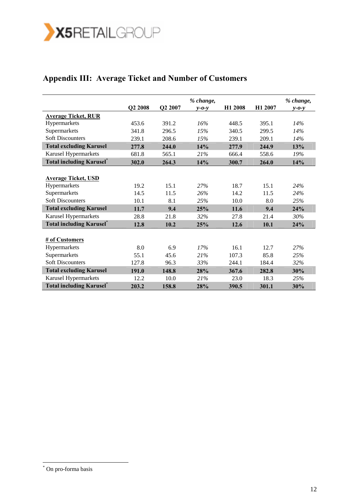![](_page_11_Picture_0.jpeg)

### **Appendix III: Average Ticket and Number of Customers**

|                                  |         |         | % change,   |         |                     | % change,   |
|----------------------------------|---------|---------|-------------|---------|---------------------|-------------|
|                                  | Q2 2008 | Q2 2007 | $y - 0 - y$ | H1 2008 | H <sub>1</sub> 2007 | $y - 0 - y$ |
| <b>Average Ticket, RUR</b>       |         |         |             |         |                     |             |
| Hypermarkets                     | 453.6   | 391.2   | 16%         | 448.5   | 395.1               | 14%         |
| Supermarkets                     | 341.8   | 296.5   | 15%         | 340.5   | 299.5               | 14%         |
| <b>Soft Discounters</b>          | 239.1   | 208.6   | 15%         | 239.1   | 209.1               | 14%         |
| <b>Total excluding Karusel</b>   | 277.8   | 244.0   | 14%         | 277.9   | 244.9               | 13%         |
| Karusel Hypermarkets             | 681.8   | 565.1   | 21%         | 666.4   | 558.6               | 19%         |
| <b>Total including Karusel</b> * | 302.0   | 264.3   | 14%         | 300.7   | 264.0               | 14%         |
|                                  |         |         |             |         |                     |             |
| <b>Average Ticket, USD</b>       |         |         |             |         |                     |             |
| Hypermarkets                     | 19.2    | 15.1    | 27%         | 18.7    | 15.1                | 24%         |
| Supermarkets                     | 14.5    | 11.5    | 26%         | 14.2    | 11.5                | 24%         |
| <b>Soft Discounters</b>          | 10.1    | 8.1     | 25%         | 10.0    | 8.0                 | 25%         |
| <b>Total excluding Karusel</b>   | 11.7    | 9.4     | 25%         | 11.6    | 9.4                 | 24%         |
| Karusel Hypermarkets             | 28.8    | 21.8    | 32%         | 27.8    | 21.4                | 30%         |
| <b>Total including Karusel</b> * | 12.8    | 10.2    | 25%         | 12.6    | 10.1                | 24%         |
|                                  |         |         |             |         |                     |             |
| # of Customers                   |         |         |             |         |                     |             |
| Hypermarkets                     | 8.0     | 6.9     | 17%         | 16.1    | 12.7                | 27%         |
| Supermarkets                     | 55.1    | 45.6    | 21%         | 107.3   | 85.8                | 25%         |
| <b>Soft Discounters</b>          | 127.8   | 96.3    | 33%         | 244.1   | 184.4               | 32%         |
| <b>Total excluding Karusel</b>   | 191.0   | 148.8   | 28%         | 367.6   | 282.8               | 30%         |
| Karusel Hypermarkets             | 12.2    | 10.0    | 21%         | 23.0    | 18.3                | 25%         |
| <b>Total including Karusel</b> * | 203.2   | 158.8   | 28%         | 390.5   | 301.1               | 30%         |

 \* On pro-forma basis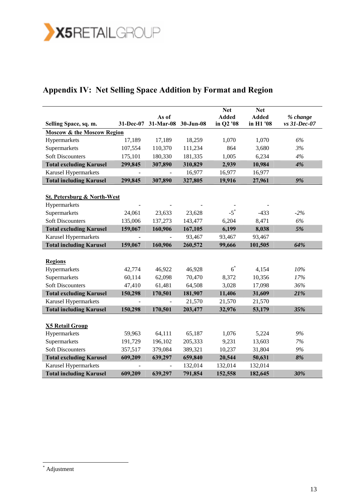![](_page_12_Picture_0.jpeg)

# **Appendix IV: Net Selling Space Addition by Format and Region**

|                                        |           |                    |           | <b>Net</b>                | <b>Net</b>                |                          |
|----------------------------------------|-----------|--------------------|-----------|---------------------------|---------------------------|--------------------------|
| Selling Space, sq. m.                  | 31-Dec-07 | As of<br>31-Mar-08 | 30-Jun-08 | <b>Added</b><br>in Q2 '08 | <b>Added</b><br>in H1 '08 | % change<br>vs 31-Dec-07 |
| <b>Moscow &amp; the Moscow Region</b>  |           |                    |           |                           |                           |                          |
| Hypermarkets                           | 17,189    | 17,189             | 18,259    | 1,070                     | 1,070                     | 6%                       |
| Supermarkets                           | 107,554   | 110,370            | 111,234   | 864                       | 3,680                     | 3%                       |
| <b>Soft Discounters</b>                | 175,101   | 180,330            | 181,335   | 1,005                     | 6,234                     | 4%                       |
| <b>Total excluding Karusel</b>         | 299,845   | 307,890            | 310,829   | 2,939                     | 10,984                    | 4%                       |
| <b>Karusel Hypermarkets</b>            |           |                    | 16,977    | 16,977                    | 16,977                    |                          |
| <b>Total including Karusel</b>         | 299,845   | 307,890            | 327,805   | 19,916                    | 27,961                    | 9%                       |
|                                        |           |                    |           |                           |                           |                          |
| <b>St. Petersburg &amp; North-West</b> |           |                    |           |                           |                           |                          |
| Hypermarkets                           |           |                    |           |                           |                           |                          |
| Supermarkets                           | 24,061    | 23,633             | 23,628    | $-5$ <sup>*</sup>         | $-433$                    | $-2%$                    |
| <b>Soft Discounters</b>                | 135,006   | 137,273            | 143,477   | 6,204                     | 8,471                     | 6%                       |
| <b>Total excluding Karusel</b>         | 159,067   | 160,906            | 167,105   | 6,199                     | 8,038                     | 5%                       |
| Karusel Hypermarkets                   |           |                    | 93,467    | 93,467                    | 93,467                    |                          |
| <b>Total including Karusel</b>         | 159,067   | 160,906            | 260,572   | 99,666                    | 101,505                   | 64%                      |
|                                        |           |                    |           |                           |                           |                          |
| <b>Regions</b>                         |           |                    |           |                           |                           |                          |
| Hypermarkets                           | 42,774    | 46,922             | 46,928    | $6^*$                     | 4,154                     | 10%                      |
| Supermarkets                           | 60,114    | 62,098             | 70,470    | 8,372                     | 10,356                    | 17%                      |
| <b>Soft Discounters</b>                | 47,410    | 61,481             | 64,508    | 3,028                     | 17,098                    | 36%                      |
| <b>Total excluding Karusel</b>         | 150,298   | 170,501            | 181,907   | 11,406                    | 31,609                    | 21%                      |
| <b>Karusel Hypermarkets</b>            |           |                    | 21,570    | 21,570                    | 21,570                    |                          |
| <b>Total including Karusel</b>         | 150,298   | 170,501            | 203,477   | 32,976                    | 53,179                    | 35%                      |
|                                        |           |                    |           |                           |                           |                          |
| <b>X5 Retail Group</b>                 |           |                    |           |                           |                           |                          |
| Hypermarkets                           | 59,963    | 64,111             | 65,187    | 1,076                     | 5,224                     | 9%                       |
| Supermarkets                           | 191,729   | 196,102            | 205,333   | 9,231                     | 13,603                    | 7%                       |
| <b>Soft Discounters</b>                | 357,517   | 379,084            | 389,321   | 10,237                    | 31,804                    | 9%                       |
| <b>Total excluding Karusel</b>         | 609,209   | 639,297            | 659,840   | 20,544                    | 50,631                    | 8%                       |
| Karusel Hypermarkets                   |           |                    | 132,014   | 132,014                   | 132,014                   |                          |
| <b>Total including Karusel</b>         | 609,209   | 639,297            | 791,854   | 152,558                   | 182,645                   | 30%                      |

 \* Adjustment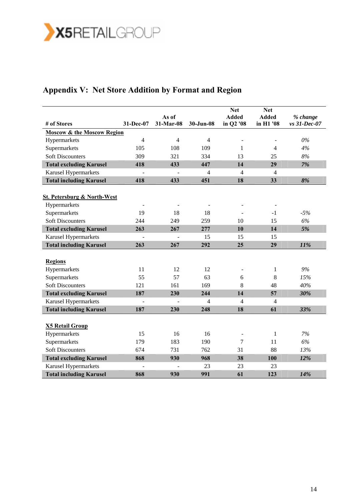![](_page_13_Picture_0.jpeg)

# **Appendix V: Net Store Addition by Format and Region**

|                                        |                |                    |                | <b>Net</b>                | <b>Net</b>                |                          |
|----------------------------------------|----------------|--------------------|----------------|---------------------------|---------------------------|--------------------------|
| # of Stores                            | 31-Dec-07      | As of<br>31-Mar-08 | 30-Jun-08      | <b>Added</b><br>in Q2 '08 | <b>Added</b><br>in H1 '08 | % change<br>vs 31-Dec-07 |
| <b>Moscow &amp; the Moscow Region</b>  |                |                    |                |                           |                           |                          |
| Hypermarkets                           | $\overline{4}$ | 4                  | 4              |                           |                           | $0\%$                    |
| Supermarkets                           | 105            | 108                | 109            | $\mathbf{1}$              | $\overline{\mathcal{L}}$  | 4%                       |
| <b>Soft Discounters</b>                | 309            | 321                | 334            | 13                        | 25                        | 8%                       |
| <b>Total excluding Karusel</b>         | 418            | 433                | 447            | 14                        | 29                        | 7%                       |
| Karusel Hypermarkets                   |                |                    | 4              | 4                         | 4                         |                          |
| <b>Total including Karusel</b>         | 418            | 433                | 451            | 18                        | 33                        | 8%                       |
|                                        |                |                    |                |                           |                           |                          |
| <b>St. Petersburg &amp; North-West</b> |                |                    |                |                           |                           |                          |
| Hypermarkets                           | $\overline{a}$ |                    |                |                           |                           |                          |
| Supermarkets                           | 19             | 18                 | 18             |                           | $-1$                      | $-5%$                    |
| <b>Soft Discounters</b>                | 244            | 249                | 259            | 10                        | 15                        | 6%                       |
| <b>Total excluding Karusel</b>         | 263            | 267                | 277            | 10                        | 14                        | 5%                       |
| Karusel Hypermarkets                   |                |                    | 15             | 15                        | 15                        |                          |
| <b>Total including Karusel</b>         | 263            | 267                | 292            | 25                        | 29                        | 11%                      |
|                                        |                |                    |                |                           |                           |                          |
| <b>Regions</b>                         |                |                    |                |                           |                           |                          |
| Hypermarkets                           | 11             | 12                 | 12             |                           | 1                         | 9%                       |
| Supermarkets                           | 55             | 57                 | 63             | 6                         | 8                         | 15%                      |
| <b>Soft Discounters</b>                | 121            | 161                | 169            | 8                         | 48                        | 40%                      |
| <b>Total excluding Karusel</b>         | 187            | 230                | 244            | 14                        | 57                        | 30%                      |
| Karusel Hypermarkets                   |                |                    | $\overline{4}$ | $\overline{4}$            | 4                         |                          |
| <b>Total including Karusel</b>         | 187            | 230                | 248            | 18                        | 61                        | 33%                      |
|                                        |                |                    |                |                           |                           |                          |
| <b>X5 Retail Group</b>                 |                |                    |                |                           |                           |                          |
| Hypermarkets                           | 15             | 16                 | 16             |                           | $\mathbf{1}$              | 7%                       |
| Supermarkets                           | 179            | 183                | 190            | 7                         | 11                        | 6%                       |
| <b>Soft Discounters</b>                | 674            | 731                | 762            | 31                        | 88                        | 13%                      |
| <b>Total excluding Karusel</b>         | 868            | 930                | 968            | 38                        | 100                       | 12%                      |
| Karusel Hypermarkets                   |                |                    | 23             | 23                        | 23                        |                          |
| <b>Total including Karusel</b>         | 868            | 930                | 991            | 61                        | 123                       | 14%                      |